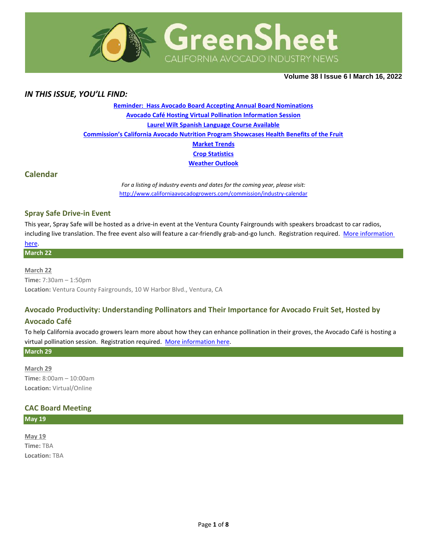

**Volume 38 Ι Issue 6 Ι March 16, 2022**

### *IN THIS ISSUE, YOU'LL FIND:*

**[Reminder: Hass Avocado Board Accepting Annual Board Nominations](#page-1-0) [Avocado Café Hosting Virtual Pollination Information Session](#page-1-1) [Laurel Wilt Spanish Language Course Available](#page-1-2) [Commission's California Avocado Nutrition Program Showcases Health Benefits of the Fruit](#page-2-0) [Market](#page-3-0) Trends Crop [Statistics](#page-4-0) [Weather Outlook](#page-5-0)**

### **Calendar**

*For a listing of industry events and dates for the coming year, please visit:*  <http://www.californiaavocadogrowers.com/commission/industry-calendar>

#### **Spray Safe Drive-in Event**

This year, Spray Safe will be hosted as a drive-in event at the Ventura County Fairgrounds with speakers broadcast to car radios, including live translation. The free event also will feature a car-friendly grab-and-go lunch. Registration required. [More information](https://www.californiaavocadogrowers.com/event/spray-safe-drive-event)

# [here.](https://www.californiaavocadogrowers.com/event/spray-safe-drive-event) **March 22**

**March 22 Time:** 7:30am – 1:50pm **Location:** Ventura County Fairgrounds, 10 W Harbor Blvd., Ventura, CA

### **Avocado Productivity: Understanding Pollinators and Their Importance for Avocado Fruit Set, Hosted by**

### **Avocado Café**

To help California avocado growers learn more about how they can enhance pollination in their groves, the Avocado Café is hosting a virtual pollination session. Registration required. [More information](https://www.californiaavocadogrowers.com/event/avocado-productivity-understanding-pollinators-and-their-importance-avocado-fruit-set) here.

### **March 29**

**March 29 Time:** 8:00am – 10:00am **Location:** Virtual/Online

### **CAC Board Meeting**

**May 19**

**May 19 Time:** TBA **Location:** TBA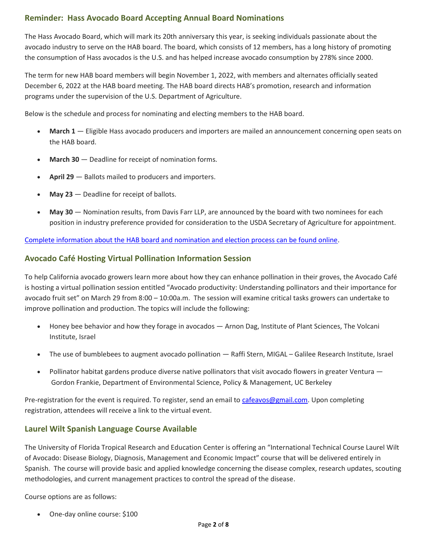# <span id="page-1-0"></span>**Reminder: Hass Avocado Board Accepting Annual Board Nominations**

The Hass Avocado Board, which will mark its 20th anniversary this year, is seeking individuals passionate about the avocado industry to serve on the HAB board. The board, which consists of 12 members, has a long history of promoting the consumption of Hass avocados is the U.S. and has helped increase avocado consumption by 278% since 2000.

The term for new HAB board members will begin November 1, 2022, with members and alternates officially seated December 6, 2022 at the HAB board meeting. The HAB board directs HAB's promotion, research and information programs under the supervision of the U.S. Department of Agriculture.

Below is the schedule and process for nominating and electing members to the HAB board.

- **March 1** Eligible Hass avocado producers and importers are mailed an announcement concerning open seats on the HAB board.
- **March 30** Deadline for receipt of nomination forms.
- **April 29** Ballots mailed to producers and importers.
- May 23 Deadline for receipt of ballots.
- **May 30** Nomination results, from Davis Farr LLP, are announced by the board with two nominees for each position in industry preference provided for consideration to the USDA Secretary of Agriculture for appointment.

[Complete information about the HAB board and nomination and election process can be found online.](http://www.hassavocadoboard.com/elections)

### <span id="page-1-1"></span>**Avocado Café Hosting Virtual Pollination Information Session**

To help California avocado growers learn more about how they can enhance pollination in their groves, the Avocado Café is hosting a virtual pollination session entitled "Avocado productivity: Understanding pollinators and their importance for avocado fruit set" on March 29 from 8:00 – 10:00a.m. The session will examine critical tasks growers can undertake to improve pollination and production. The topics will include the following:

- Honey bee behavior and how they forage in avocados Arnon Dag, Institute of Plant Sciences, The Volcani Institute, Israel
- The use of bumblebees to augment avocado pollination Raffi Stern, MIGAL Galilee Research Institute, Israel
- Pollinator habitat gardens produce diverse native pollinators that visit avocado flowers in greater Ventura Gordon Frankie, Department of Environmental Science, Policy & Management, UC Berkeley

Pre-registration for the event is required. To register, send an email to [cafeavos@gmail.com.](mailto:cafeavos@gmail.com) Upon completing registration, attendees will receive a link to the virtual event.

# <span id="page-1-2"></span>**Laurel Wilt Spanish Language Course Available**

The University of Florida Tropical Research and Education Center is offering an "International Technical Course Laurel Wilt of Avocado: Disease Biology, Diagnosis, Management and Economic Impact" course that will be delivered entirely in Spanish. The course will provide basic and applied knowledge concerning the disease complex, research updates, scouting methodologies, and current management practices to control the spread of the disease.

Course options are as follows:

• One-day online course: \$100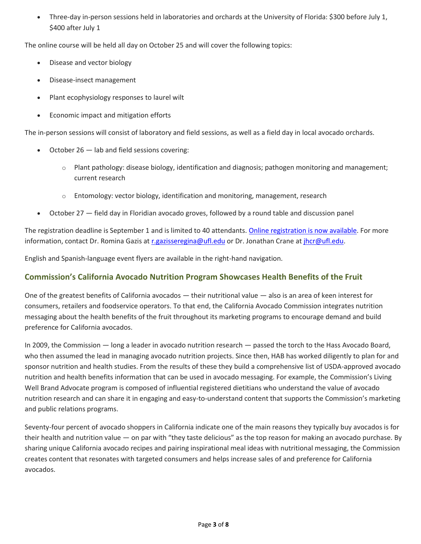• Three-day in-person sessions held in laboratories and orchards at the University of Florida: \$300 before July 1, \$400 after July 1

The online course will be held all day on October 25 and will cover the following topics:

- Disease and vector biology
- Disease-insect management
- Plant ecophysiology responses to laurel wilt
- Economic impact and mitigation efforts

The in-person sessions will consist of laboratory and field sessions, as well as a field day in local avocado orchards.

- October  $26$  lab and field sessions covering:
	- $\circ$  Plant pathology: disease biology, identification and diagnosis; pathogen monitoring and management; current research
	- o Entomology: vector biology, identification and monitoring, management, research
- October 27 field day in Floridian avocado groves, followed by a round table and discussion panel

The registration deadline is September 1 and is limited to 40 attendants. [Online registration is now available.](https://www.eventbrite.com/e/curso-tecnico-internacional-marchitez-del-laurel-en-aguacate-tickets-277524331747) For more information, contact Dr. Romina Gazis at [r.gazisseregina@ufl.edu](mailto:r.gazisseregina@ufl.edu) or Dr. Jonathan Crane a[t jhcr@ufl.edu.](mailto:jhcr@ufl.edu)

English and Spanish-language event flyers are available in the right-hand navigation.

# <span id="page-2-0"></span>**Commission's California Avocado Nutrition Program Showcases Health Benefits of the Fruit**

One of the greatest benefits of California avocados — their nutritional value — also is an area of keen interest for consumers, retailers and foodservice operators. To that end, the California Avocado Commission integrates nutrition messaging about the health benefits of the fruit throughout its marketing programs to encourage demand and build preference for California avocados.

In 2009, the Commission — long a leader in avocado nutrition research — passed the torch to the Hass Avocado Board, who then assumed the lead in managing avocado nutrition projects. Since then, HAB has worked diligently to plan for and sponsor nutrition and health studies. From the results of these they build a comprehensive list of USDA-approved avocado nutrition and health benefits information that can be used in avocado messaging. For example, the Commission's Living Well Brand Advocate program is composed of influential registered dietitians who understand the value of avocado nutrition research and can share it in engaging and easy-to-understand content that supports the Commission's marketing and public relations programs.

Seventy-four percent of avocado shoppers in California indicate one of the main reasons they typically buy avocados is for their health and nutrition value — on par with "they taste delicious" as the top reason for making an avocado purchase. By sharing unique California avocado recipes and pairing inspirational meal ideas with nutritional messaging, the Commission creates content that resonates with targeted consumers and helps increase sales of and preference for California avocados.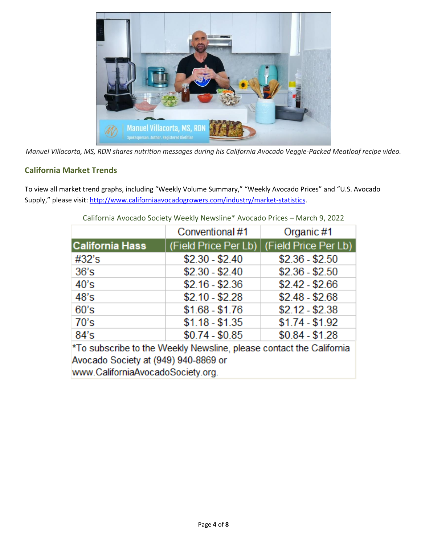

*Manuel Villacorta, MS, RDN shares nutrition messages during his California Avocado Veggie-Packed Meatloaf recipe video.*

# <span id="page-3-0"></span>**California Market Trends**

To view all market trend graphs, including "Weekly Volume Summary," "Weekly Avocado Prices" and "U.S. Avocado Supply," please visit[: http://www.californiaavocadogrowers.com/industry/market-statistics.](http://www.californiaavocadogrowers.com/industry/market-statistics)

|                                                                     | Conventional #1 | Organic #1                                  |  |  |  |
|---------------------------------------------------------------------|-----------------|---------------------------------------------|--|--|--|
| <b>California Hass</b>                                              |                 | (Field Price Per Lb)   (Field Price Per Lb) |  |  |  |
| #32's                                                               | $$2.30 - $2.40$ | $$2.36 - $2.50$                             |  |  |  |
| 36's                                                                | $$2.30 - $2.40$ | $$2.36 - $2.50$                             |  |  |  |
| 40's                                                                | $$2.16 - $2.36$ | $$2.42 - $2.66$                             |  |  |  |
| 48's                                                                | $$2.10 - $2.28$ | $$2.48 - $2.68$                             |  |  |  |
| 60's                                                                | $$1.68 - $1.76$ | $$2.12 - $2.38$                             |  |  |  |
| 70's                                                                | $$1.18 - $1.35$ | $$1.74 - $1.92$                             |  |  |  |
| 84's                                                                | $$0.74 - $0.85$ | $$0.84 - $1.28$                             |  |  |  |
| *To subscribe to the Weekly Newsline, please contact the California |                 |                                             |  |  |  |

California Avocado Society Weekly Newsline\* Avocado Prices – March 9, 2022

Avocado Society at (949) 940-8869 or www.CaliforniaAvocadoSociety.org.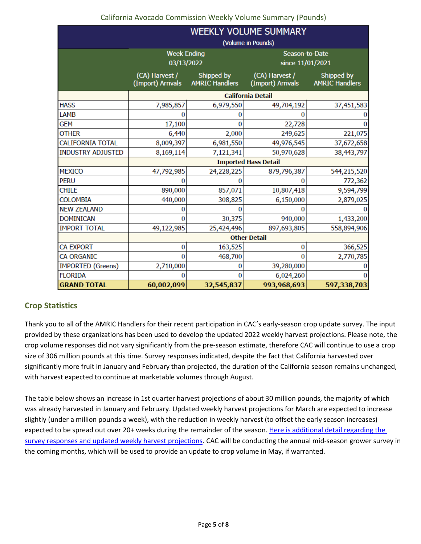## California Avocado Commission Weekly Volume Summary (Pounds)

|                          | WEEKLY VOLUME SUMMARY               |                                     |                                     |                                     |  |  |
|--------------------------|-------------------------------------|-------------------------------------|-------------------------------------|-------------------------------------|--|--|
|                          | (Volume in Pounds)                  |                                     |                                     |                                     |  |  |
|                          | <b>Week Ending</b><br>03/13/2022    |                                     | Season-to-Date<br>since 11/01/2021  |                                     |  |  |
|                          | (CA) Harvest /<br>(Import) Arrivals | Shipped by<br><b>AMRIC Handlers</b> | (CA) Harvest /<br>(Import) Arrivals | Shipped by<br><b>AMRIC Handlers</b> |  |  |
|                          | <b>California Detail</b>            |                                     |                                     |                                     |  |  |
| <b>HASS</b>              | 7,985,857                           | 6,979,550                           | 49,704,192                          | 37,451,583                          |  |  |
| LAMB                     |                                     |                                     |                                     |                                     |  |  |
| GEM                      | 17,100                              |                                     | 22,728                              |                                     |  |  |
| <b>OTHER</b>             | 6,440                               | 2,000                               | 249,625                             | 221,075                             |  |  |
| <b>CALIFORNIA TOTAL</b>  | 8,009,397                           | 6,981,550                           | 49,976,545                          | 37,672,658                          |  |  |
| <b>INDUSTRY ADJUSTED</b> | 8,169,114                           | 7,121,341                           | 50,970,628                          | 38,443,797                          |  |  |
|                          | <b>Imported Hass Detail</b>         |                                     |                                     |                                     |  |  |
| <b>MEXICO</b>            | 47,792,985                          | 24,228,225                          | 879,796,387                         | 544,215,520                         |  |  |
| <b>PERU</b>              |                                     |                                     | O                                   | 772,362                             |  |  |
| <b>CHILE</b>             | 890,000                             | 857,071                             | 10,807,418                          | 9,594,799                           |  |  |
| <b>COLOMBIA</b>          | 440,000                             | 308,825                             | 6,150,000                           | 2,879,025                           |  |  |
| <b>NEW ZEALAND</b>       |                                     |                                     | n                                   |                                     |  |  |
| <b>DOMINICAN</b>         | o                                   | 30,375                              | 940,000                             | 1,433,200                           |  |  |
| <b>IMPORT TOTAL</b>      | 49,122,985                          | 25,424,496                          | 897,693,805                         | 558,894,906                         |  |  |
|                          | <b>Other Detail</b>                 |                                     |                                     |                                     |  |  |
| <b>CA EXPORT</b>         | 0                                   | 163,525                             | 0                                   | 366,525                             |  |  |
| <b>CA ORGANIC</b>        | $\Omega$                            | 468,700                             | o                                   | 2,770,785                           |  |  |
| <b>IMPORTED (Greens)</b> | 2,710,000                           |                                     | 39,280,000                          |                                     |  |  |
| <b>FLORIDA</b>           |                                     |                                     | 6,024,260                           |                                     |  |  |
| <b>GRAND TOTAL</b>       | 60,002,099                          | 32,545,837                          | 993,968,693                         | 597,338,703                         |  |  |

# <span id="page-4-0"></span>**Crop Statistics**

Thank you to all of the AMRIC Handlers for their recent participation in CAC's early-season crop update survey. The input provided by these organizations has been used to develop the updated 2022 weekly harvest projections. Please note, the crop volume responses did not vary significantly from the pre-season estimate, therefore CAC will continue to use a crop size of 306 million pounds at this time. Survey responses indicated, despite the fact that California harvested over significantly more fruit in January and February than projected, the duration of the California season remains unchanged, with harvest expected to continue at marketable volumes through August.

The table below shows an increase in 1st quarter harvest projections of about 30 million pounds, the majority of which was already harvested in January and February. Updated weekly harvest projections for March are expected to increase slightly (under a million pounds a week), with the reduction in weekly harvest (to offset the early season increases) expected to be spread out over 20+ weeks during the remainder of the season. Here is additional detail regarding the [survey responses and updated weekly harvest projections.](https://www.californiaavocadogrowers.com/sites/default/files/Feb-2022-CA-Crop-Harvest-Update.pdf) CAC will be conducting the annual mid-season grower survey in the coming months, which will be used to provide an update to crop volume in May, if warranted.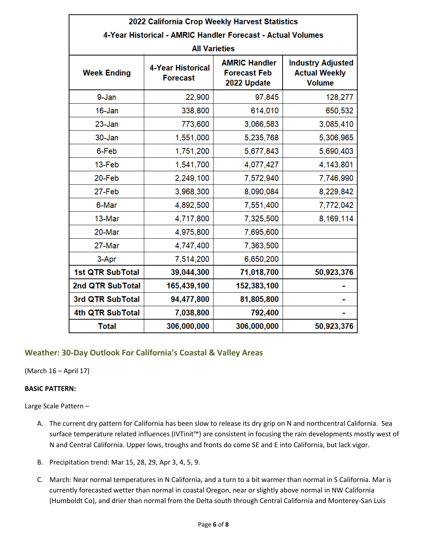| 2022 California Crop Weekly Harvest Statistics              |                                             |                                                            |                                                                   |  |  |  |
|-------------------------------------------------------------|---------------------------------------------|------------------------------------------------------------|-------------------------------------------------------------------|--|--|--|
| 4-Year Historical - AMRIC Handler Forecast - Actual Volumes |                                             |                                                            |                                                                   |  |  |  |
| <b>All Varieties</b>                                        |                                             |                                                            |                                                                   |  |  |  |
| <b>Week Ending</b>                                          | <b>4-Year Historical</b><br><b>Forecast</b> | <b>AMRIC Handler</b><br><b>Forecast Feb</b><br>2022 Update | <b>Industry Adjusted</b><br><b>Actual Weekly</b><br><b>Volume</b> |  |  |  |
| 9-Jan                                                       | 22,900                                      | 97,845                                                     | 128,277                                                           |  |  |  |
| 16-Jan                                                      | 338,800                                     | 614,010                                                    | 650,532                                                           |  |  |  |
| $23 - Jan$                                                  | 773,600                                     | 3,066,583                                                  | 3,085,410                                                         |  |  |  |
| 30-Jan                                                      | 1,551,000                                   | 5,235,768                                                  | 5,306,965                                                         |  |  |  |
| 6-Feb                                                       | 1,751,200                                   | 5,677,843                                                  | 5,690,403                                                         |  |  |  |
| 13-Feb                                                      | 1,541,700                                   | 4,077,427                                                  | 4,143,801                                                         |  |  |  |
| 20-Feb                                                      | 2,249,100                                   | 7,572,940                                                  | 7,746,990                                                         |  |  |  |
| 27-Feb                                                      | 3,968,300                                   | 8,090,084                                                  | 8,229,842                                                         |  |  |  |
| 6-Mar                                                       | 4,892,500                                   | 7,551,400                                                  | 7,772,042                                                         |  |  |  |
| 13-Mar                                                      | 4,717,800                                   | 7,325,500                                                  | 8,169,114                                                         |  |  |  |
| 20-Mar                                                      | 4,975,800                                   | 7,695,600                                                  |                                                                   |  |  |  |
| 27-Mar                                                      | 4,747,400                                   | 7,363,500                                                  |                                                                   |  |  |  |
| 3-Apr                                                       | 7,514,200                                   | 6,650,200                                                  |                                                                   |  |  |  |
| <b>1st QTR SubTotal</b>                                     | 39,044,300                                  | 71,018,700                                                 | 50,923,376                                                        |  |  |  |
| 2nd QTR SubTotal                                            | 165,439,100                                 | 152,383,100                                                |                                                                   |  |  |  |
| 3rd QTR SubTotal                                            | 94,477,800                                  | 81,805,800                                                 |                                                                   |  |  |  |
| 4th QTR SubTotal                                            | 7,038,800                                   | 792,400                                                    |                                                                   |  |  |  |
| <b>Total</b>                                                | 306,000,000                                 | 306,000,000                                                | 50,923,376                                                        |  |  |  |

# <span id="page-5-0"></span>**Weather: 30-Day Outlook For California's Coastal & Valley Areas**

(March 16 – April 17)

### **BASIC PATTERN:**

Large Scale Pattern –

- A. The current dry pattern for California has been slow to release its dry grip on N and northcentral California. Sea surface temperature related influences (IVTinit™) are consistent in focusing the rain developments mostly west of N and Central California. Upper lows, troughs and fronts do come SE and E into California, but lack vigor.
- B. Precipitation trend: Mar 15, 28, 29, Apr 3, 4, 5, 9.
- C. March: Near normal temperatures in N California, and a turn to a bit warmer than normal in S California. Mar is currently forecasted wetter than normal in coastal Oregon, near or slightly above normal in NW California (Humboldt Co), and drier than normal from the Delta south through Central California and Monterey-San Luis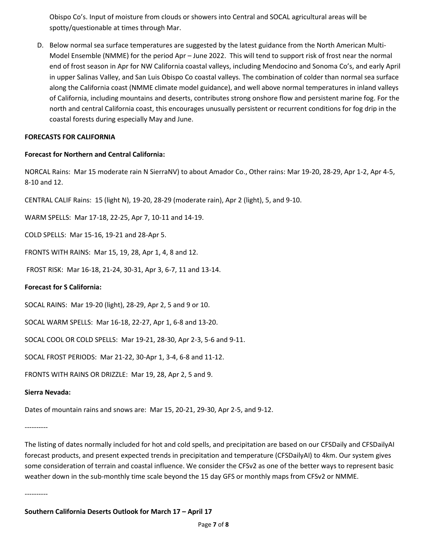Obispo Co's. Input of moisture from clouds or showers into Central and SOCAL agricultural areas will be spotty/questionable at times through Mar.

D. Below normal sea surface temperatures are suggested by the latest guidance from the North American Multi-Model Ensemble (NMME) for the period Apr – June 2022. This will tend to support risk of frost near the normal end of frost season in Apr for NW California coastal valleys, including Mendocino and Sonoma Co's, and early April in upper Salinas Valley, and San Luis Obispo Co coastal valleys. The combination of colder than normal sea surface along the California coast (NMME climate model guidance), and well above normal temperatures in inland valleys of California, including mountains and deserts, contributes strong onshore flow and persistent marine fog. For the north and central California coast, this encourages unusually persistent or recurrent conditions for fog drip in the coastal forests during especially May and June.

### **FORECASTS FOR CALIFORNIA**

### **Forecast for Northern and Central California:**

NORCAL Rains: Mar 15 moderate rain N SierraNV) to about Amador Co., Other rains: Mar 19-20, 28-29, Apr 1-2, Apr 4-5, 8-10 and 12.

CENTRAL CALIF Rains: 15 (light N), 19-20, 28-29 (moderate rain), Apr 2 (light), 5, and 9-10.

WARM SPELLS: Mar 17-18, 22-25, Apr 7, 10-11 and 14-19.

COLD SPELLS: Mar 15-16, 19-21 and 28-Apr 5.

FRONTS WITH RAINS: Mar 15, 19, 28, Apr 1, 4, 8 and 12.

FROST RISK: Mar 16-18, 21-24, 30-31, Apr 3, 6-7, 11 and 13-14.

### **Forecast for S California:**

SOCAL RAINS: Mar 19-20 (light), 28-29, Apr 2, 5 and 9 or 10.

SOCAL WARM SPELLS: Mar 16-18, 22-27, Apr 1, 6-8 and 13-20.

SOCAL COOL OR COLD SPELLS: Mar 19-21, 28-30, Apr 2-3, 5-6 and 9-11.

SOCAL FROST PERIODS: Mar 21-22, 30-Apr 1, 3-4, 6-8 and 11-12.

FRONTS WITH RAINS OR DRIZZLE: Mar 19, 28, Apr 2, 5 and 9.

### **Sierra Nevada:**

Dates of mountain rains and snows are: Mar 15, 20-21, 29-30, Apr 2-5, and 9-12.

----------

The listing of dates normally included for hot and cold spells, and precipitation are based on our CFSDaily and CFSDailyAI forecast products, and present expected trends in precipitation and temperature (CFSDailyAI) to 4km. Our system gives some consideration of terrain and coastal influence. We consider the CFSv2 as one of the better ways to represent basic weather down in the sub-monthly time scale beyond the 15 day GFS or monthly maps from CFSv2 or NMME.

----------